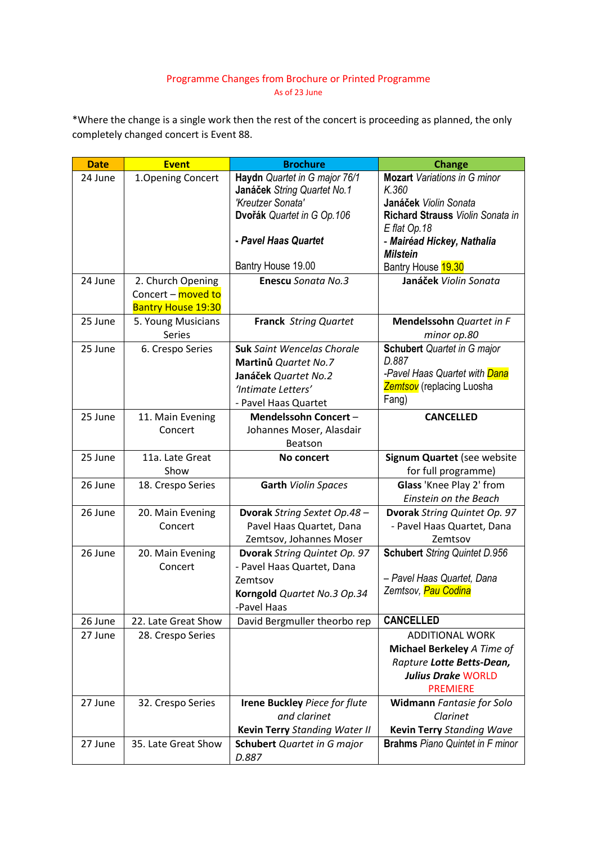## Programme Changes from Brochure or Printed Programme As of 23 June

\*Where the change is a single work then the rest of the concert is proceeding as planned, the only completely changed concert is Event 88.

| <b>Date</b> | <b>Event</b>              | <b>Brochure</b>                             | <b>Change</b>                              |
|-------------|---------------------------|---------------------------------------------|--------------------------------------------|
| 24 June     | 1. Opening Concert        | Haydn Quartet in G major 76/1               | <b>Mozart</b> Variations in G minor        |
|             |                           | Janáček String Quartet No.1                 | K.360                                      |
|             |                           | 'Kreutzer Sonata'                           | Janáček Violin Sonata                      |
|             |                           | Dvořák Quartet in G Op.106                  | Richard Strauss Violin Sonata in           |
|             |                           | - Pavel Haas Quartet                        | E flat Op.18<br>- Mairéad Hickey, Nathalia |
|             |                           |                                             | <b>Milstein</b>                            |
|             |                           | Bantry House 19.00                          | Bantry House 19.30                         |
| 24 June     | 2. Church Opening         | <b>Enescu Sonata No.3</b>                   | Janáček Violin Sonata                      |
|             | Concert - moved to        |                                             |                                            |
|             | <b>Bantry House 19:30</b> |                                             |                                            |
| 25 June     | 5. Young Musicians        | <b>Franck String Quartet</b>                | Mendelssohn Quartet in F                   |
|             | <b>Series</b>             |                                             | minor op.80                                |
| 25 June     | 6. Crespo Series          | <b>Suk</b> Saint Wencelas Chorale           | <b>Schubert</b> Quartet in G major         |
|             |                           | Martinů Quartet No.7                        | D.887                                      |
|             |                           | Janáček Quartet No.2                        | -Pavel Haas Quartet with Dana              |
|             |                           | 'Intimate Letters'                          | <b>Zemtsov</b> (replacing Luosha           |
|             |                           | - Pavel Haas Quartet                        | Fang)                                      |
| 25 June     | 11. Main Evening          | Mendelssohn Concert-                        | <b>CANCELLED</b>                           |
|             | Concert                   | Johannes Moser, Alasdair                    |                                            |
|             |                           | Beatson                                     |                                            |
| 25 June     | 11a. Late Great           | No concert                                  | Signum Quartet (see website                |
|             | Show                      |                                             | for full programme)                        |
| 26 June     | 18. Crespo Series         | Garth Violin Spaces                         | Glass 'Knee Play 2' from                   |
|             |                           |                                             | Einstein on the Beach                      |
| 26 June     | 20. Main Evening          | Dvorak String Sextet Op.48 -                | Dvorak String Quintet Op. 97               |
|             | Concert                   | Pavel Haas Quartet, Dana                    | - Pavel Haas Quartet, Dana                 |
|             |                           | Zemtsov, Johannes Moser                     | Zemtsov                                    |
| 26 June     | 20. Main Evening          | Dvorak String Quintet Op. 97                | <b>Schubert</b> String Quintet D.956       |
|             | Concert                   | - Pavel Haas Quartet, Dana                  | - Pavel Haas Quartet, Dana                 |
|             |                           | Zemtsov                                     | Zemtsov, Pau Codina                        |
|             |                           | Korngold Quartet No.3 Op.34                 |                                            |
| 26 June     | 22. Late Great Show       | -Pavel Haas<br>David Bergmuller theorbo rep | <b>CANCELLED</b>                           |
| 27 June     | 28. Crespo Series         |                                             | <b>ADDITIONAL WORK</b>                     |
|             |                           |                                             | Michael Berkeley A Time of                 |
|             |                           |                                             | Rapture Lotte Betts-Dean,                  |
|             |                           |                                             | <b>Julius Drake WORLD</b>                  |
|             |                           |                                             | <b>PREMIERE</b>                            |
| 27 June     | 32. Crespo Series         | <b>Irene Buckley Piece for flute</b>        | Widmann Fantasie for Solo                  |
|             |                           | and clarinet                                | Clarinet                                   |
|             |                           | Kevin Terry Standing Water II               | <b>Kevin Terry Standing Wave</b>           |
| 27 June     | 35. Late Great Show       | <b>Schubert</b> Quartet in G major          | <b>Brahms</b> Piano Quintet in F minor     |
|             |                           | D.887                                       |                                            |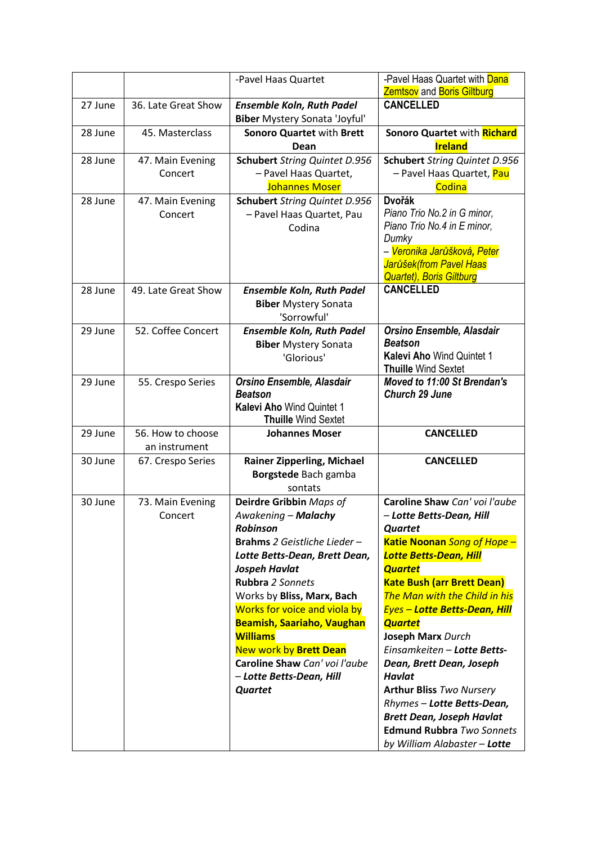|         |                                    | -Pavel Haas Quartet                                                                                                                                                                                                                                                                                                                                                                                          | -Pavel Haas Quartet with Dana<br><b>Zemtsov</b> and <b>Boris Giltburg</b>                                                                                                                                                                                                                                                                                                                                                                                                                                                                                                      |
|---------|------------------------------------|--------------------------------------------------------------------------------------------------------------------------------------------------------------------------------------------------------------------------------------------------------------------------------------------------------------------------------------------------------------------------------------------------------------|--------------------------------------------------------------------------------------------------------------------------------------------------------------------------------------------------------------------------------------------------------------------------------------------------------------------------------------------------------------------------------------------------------------------------------------------------------------------------------------------------------------------------------------------------------------------------------|
| 27 June | 36. Late Great Show                | <b>Ensemble Koln, Ruth Padel</b><br><b>Biber</b> Mystery Sonata 'Joyful'                                                                                                                                                                                                                                                                                                                                     | <b>CANCELLED</b>                                                                                                                                                                                                                                                                                                                                                                                                                                                                                                                                                               |
| 28 June | 45. Masterclass                    | <b>Sonoro Quartet with Brett</b><br>Dean                                                                                                                                                                                                                                                                                                                                                                     | Sonoro Quartet with Richard<br><b>Ireland</b>                                                                                                                                                                                                                                                                                                                                                                                                                                                                                                                                  |
| 28 June | 47. Main Evening<br>Concert        | <b>Schubert</b> String Quintet D.956<br>- Pavel Haas Quartet,<br><b>Johannes Moser</b>                                                                                                                                                                                                                                                                                                                       | <b>Schubert</b> String Quintet D.956<br>– Pavel Haas Quartet, <mark>Pau</mark><br>Codina                                                                                                                                                                                                                                                                                                                                                                                                                                                                                       |
| 28 June | 47. Main Evening<br>Concert        | <b>Schubert</b> String Quintet D.956<br>- Pavel Haas Quartet, Pau<br>Codina                                                                                                                                                                                                                                                                                                                                  | <b>Dvořák</b><br>Piano Trio No.2 in G minor,<br>Piano Trio No.4 in E minor,<br>Dumky<br>– <mark>Veronika Jarůšková, Peter</mark><br>Jarůšek(from Pavel Haas<br><b>Quartet), Boris Giltburg</b>                                                                                                                                                                                                                                                                                                                                                                                 |
| 28 June | 49. Late Great Show                | <b>Ensemble Koln, Ruth Padel</b><br><b>Biber Mystery Sonata</b><br>'Sorrowful'                                                                                                                                                                                                                                                                                                                               | <b>CANCELLED</b>                                                                                                                                                                                                                                                                                                                                                                                                                                                                                                                                                               |
| 29 June | 52. Coffee Concert                 | <b>Ensemble Koln, Ruth Padel</b><br><b>Biber Mystery Sonata</b><br>'Glorious'                                                                                                                                                                                                                                                                                                                                | Orsino Ensemble, Alasdair<br><b>Beatson</b><br><b>Kalevi Aho Wind Quintet 1</b><br><b>Thuille Wind Sextet</b>                                                                                                                                                                                                                                                                                                                                                                                                                                                                  |
| 29 June | 55. Crespo Series                  | Orsino Ensemble, Alasdair<br><b>Beatson</b><br>Kalevi Aho Wind Quintet 1<br><b>Thuille Wind Sextet</b>                                                                                                                                                                                                                                                                                                       | Moved to 11:00 St Brendan's<br><b>Church 29 June</b>                                                                                                                                                                                                                                                                                                                                                                                                                                                                                                                           |
| 29 June | 56. How to choose<br>an instrument | <b>Johannes Moser</b>                                                                                                                                                                                                                                                                                                                                                                                        | <b>CANCELLED</b>                                                                                                                                                                                                                                                                                                                                                                                                                                                                                                                                                               |
| 30 June | 67. Crespo Series                  | <b>Rainer Zipperling, Michael</b><br>Borgstede Bach gamba<br>sontats                                                                                                                                                                                                                                                                                                                                         | <b>CANCELLED</b>                                                                                                                                                                                                                                                                                                                                                                                                                                                                                                                                                               |
| 30 June | 73. Main Evening<br>Concert        | Deirdre Gribbin Maps of<br>Awakening - Malachy<br><b>Robinson</b><br>Brahms 2 Geistliche Lieder-<br>Lotte Betts-Dean, Brett Dean,<br>Jospeh Havlat<br>Rubbra 2 Sonnets<br>Works by Bliss, Marx, Bach<br>Works for voice and viola by<br><b>Beamish, Saariaho, Vaughan</b><br><b>Williams</b><br><b>New work by Brett Dean</b><br>Caroline Shaw Can' voi l'aube<br>- Lotte Betts-Dean, Hill<br><b>Quartet</b> | Caroline Shaw Can' voi l'aube<br>– Lotte Betts-Dean, Hill<br><b>Quartet</b><br>Katie Noonan Song of Hope -<br><b>Lotte Betts-Dean, Hill</b><br><b>Quartet</b><br><b>Kate Bush (arr Brett Dean)</b><br>The Man with the Child in his<br><b>Eyes - Lotte Betts-Dean, Hill</b><br><b>Quartet</b><br><b>Joseph Marx Durch</b><br>Einsamkeiten - Lotte Betts-<br>Dean, Brett Dean, Joseph<br><b>Havlat</b><br><b>Arthur Bliss Two Nursery</b><br>Rhymes - Lotte Betts-Dean,<br><b>Brett Dean, Joseph Havlat</b><br><b>Edmund Rubbra Two Sonnets</b><br>by William Alabaster - Lotte |